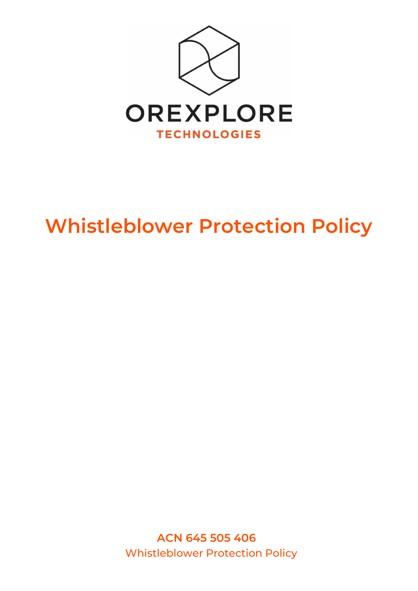

# **Whistleblower Protection Policy**

**ACN 645 505 406** Whistleblower Protection Policy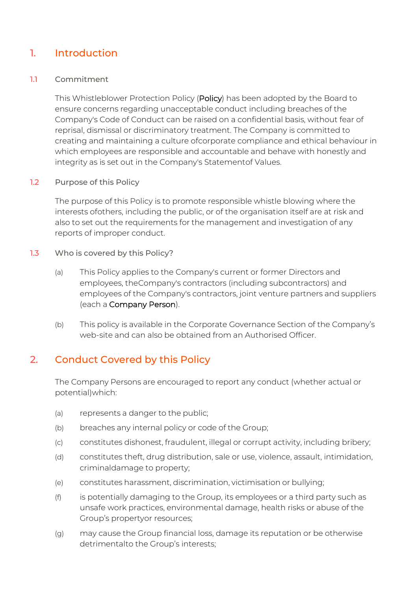## 1. Introduction

#### 1.1 Commitment

This Whistleblower Protection Policy (Policy) has been adopted by the Board to ensure concerns regarding unacceptable conduct including breaches of the Company's Code of Conduct can be raised on a confidential basis, without fear of reprisal, dismissal or discriminatory treatment. The Company is committed to creating and maintaining a culture ofcorporate compliance and ethical behaviour in which employees are responsible and accountable and behave with honestly and integrity as is set out in the Company's Statementof Values.

#### 1.2 Purpose of this Policy

The purpose of this Policy is to promote responsible whistle blowing where the interests ofothers, including the public, or of the organisation itself are at risk and also to set out the requirements for the management and investigation of any reports of improper conduct.

- 1.3 Who is covered by this Policy?
	- (a) This Policy applies to the Company's current or former Directors and employees, theCompany's contractors (including subcontractors) and employees of the Company's contractors, joint venture partners and suppliers (each a Company Person).
	- (b) This policy is available in the Corporate Governance Section of the Company's web-site and can also be obtained from an Authorised Officer.

## 2. Conduct Covered by this Policy

The Company Persons are encouraged to report any conduct (whether actual or potential)which:

- (a) represents a danger to the public;
- (b) breaches any internal policy or code of the Group;
- (c) constitutes dishonest, fraudulent, illegal or corrupt activity, including bribery;
- (d) constitutes theft, drug distribution, sale or use, violence, assault, intimidation, criminaldamage to property;
- (e) constitutes harassment, discrimination, victimisation or bullying;
- (f) is potentially damaging to the Group, its employees or a third party such as unsafe work practices, environmental damage, health risks or abuse of the Group's propertyor resources;
- (g) may cause the Group financial loss, damage its reputation or be otherwise detrimentalto the Group's interests;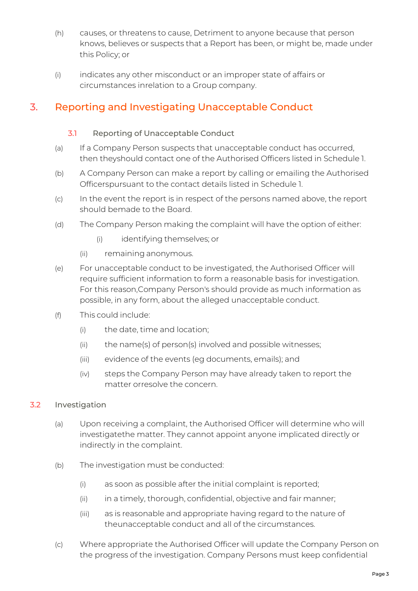- (h) causes, or threatens to cause, Detriment to anyone because that person knows, believes or suspects that a Report has been, or might be, made under this Policy; or
- (i) indicates any other misconduct or an improper state of affairs or circumstances inrelation to a Group company.

## 3. Reporting and Investigating Unacceptable Conduct

#### 3.1 Reporting of Unacceptable Conduct

- (a) If a Company Person suspects that unacceptable conduct has occurred, then theyshould contact one of the Authorised Officers listed in [Schedule](#page-6-0) 1.
- (b) A Company Person can make a report by calling or emailing the Authorised Officerspursuant to the contact details listed in [Schedule](#page-6-0) 1.
- (c) In the event the report is in respect of the persons named above, the report should bemade to the Board.
- (d) The Company Person making the complaint will have the option of either:
	- (i) identifying themselves; or
	- (ii) remaining anonymous.
- (e) For unacceptable conduct to be investigated, the Authorised Officer will require sufficient information to form a reasonable basis for investigation. For this reason,Company Person's should provide as much information as possible, in any form, about the alleged unacceptable conduct.
- (f) This could include:
	- (i) the date, time and location;
	- (ii) the name(s) of person(s) involved and possible witnesses;
	- (iii) evidence of the events (eg documents, emails); and
	- (iv) steps the Company Person may have already taken to report the matter orresolve the concern.

#### 3.2 Investigation

- (a) Upon receiving a complaint, the Authorised Officer will determine who will investigatethe matter. They cannot appoint anyone implicated directly or indirectly in the complaint.
- (b) The investigation must be conducted:
	- (i) as soon as possible after the initial complaint is reported;
	- (ii) in a timely, thorough, confidential, objective and fair manner;
	- (iii) as is reasonable and appropriate having regard to the nature of theunacceptable conduct and all of the circumstances.
- (c) Where appropriate the Authorised Officer will update the Company Person on the progress of the investigation. Company Persons must keep confidential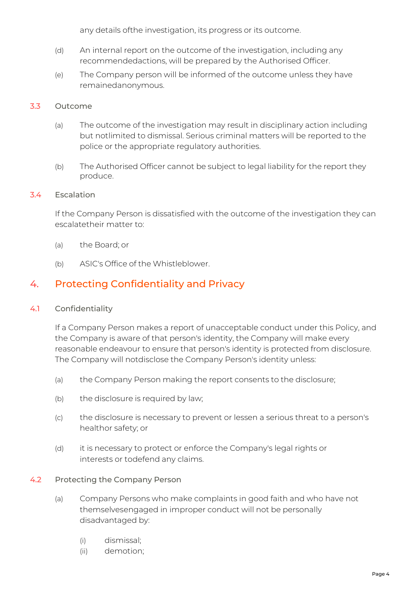any details ofthe investigation, its progress or its outcome.

- (d) An internal report on the outcome of the investigation, including any recommendedactions, will be prepared by the Authorised Officer.
- (e) The Company person will be informed of the outcome unless they have remainedanonymous.

#### 3.3 Outcome

- (a) The outcome of the investigation may result in disciplinary action including but notlimited to dismissal. Serious criminal matters will be reported to the police or the appropriate regulatory authorities.
- (b) The Authorised Officer cannot be subject to legal liability for the report they produce.

#### 3.4 Escalation

If the Company Person is dissatisfied with the outcome of the investigation they can escalatetheir matter to:

- (a) the Board; or
- (b) ASIC's Office of the Whistleblower.

## 4. Protecting Confidentiality and Privacy

#### 4.1 Confidentiality

If a Company Person makes a report of unacceptable conduct under this Policy, and the Company is aware of that person's identity, the Company will make every reasonable endeavour to ensure that person's identity is protected from disclosure. The Company will notdisclose the Company Person's identity unless:

- (a) the Company Person making the report consents to the disclosure;
- (b) the disclosure is required by law;
- (c) the disclosure is necessary to prevent or lessen a serious threat to a person's healthor safety; or
- (d) it is necessary to protect or enforce the Company's legal rights or interests or todefend any claims.

#### 4.2 Protecting the Company Person

- (a) Company Persons who make complaints in good faith and who have not themselvesengaged in improper conduct will not be personally disadvantaged by:
	- (i) dismissal;
	- (ii) demotion;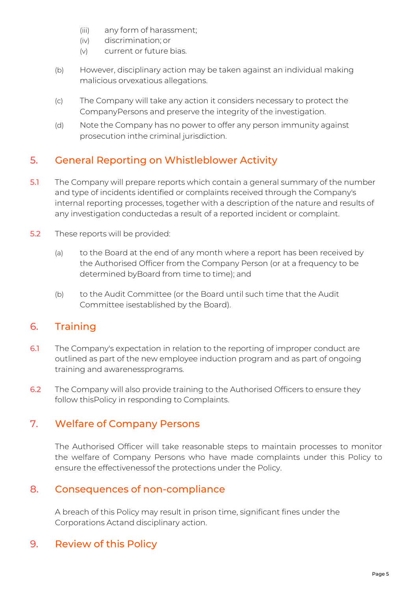- (iii) any form of harassment;
- (iv) discrimination; or
- (v) current or future bias.
- (b) However, disciplinary action may be taken against an individual making malicious orvexatious allegations.
- (c) The Company will take any action it considers necessary to protect the CompanyPersons and preserve the integrity of the investigation.
- (d) Note the Company has no power to offer any person immunity against prosecution inthe criminal jurisdiction.

## 5. General Reporting on Whistleblower Activity

- 5.1 The Company will prepare reports which contain a general summary of the number and type of incidents identified or complaints received through the Company's internal reporting processes, together with a description of the nature and results of any investigation conductedas a result of a reported incident or complaint.
- 5.2 These reports will be provided:
	- (a) to the Board at the end of any month where a report has been received by the Authorised Officer from the Company Person (or at a frequency to be determined byBoard from time to time); and
	- (b) to the Audit Committee (or the Board until such time that the Audit Committee isestablished by the Board).

## 6. Training

- 6.1 The Company's expectation in relation to the reporting of improper conduct are outlined as part of the new employee induction program and as part of ongoing training and awarenessprograms.
- 6.2 The Company will also provide training to the Authorised Officers to ensure they follow thisPolicy in responding to Complaints.

## 7. Welfare of Company Persons

The Authorised Officer will take reasonable steps to maintain processes to monitor the welfare of Company Persons who have made complaints under this Policy to ensure the effectivenessof the protections under the Policy.

## 8. Consequences of non-compliance

A breach of this Policy may result in prison time, significant fines under the Corporations Actand disciplinary action.

## 9. Review of this Policy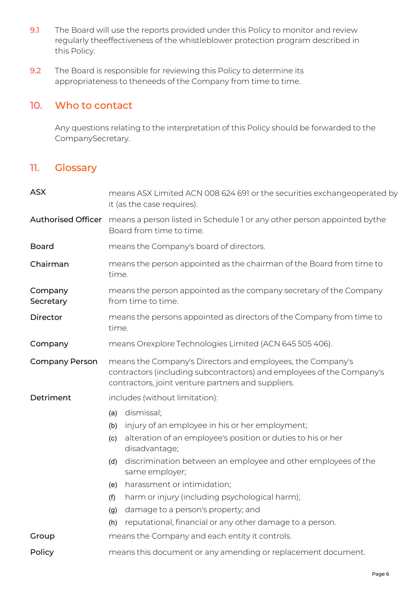- 9.1 The Board will use the reports provided under this Policy to monitor and review regularly theeffectiveness of the whistleblower protection program described in this Policy.
- 9.2 The Board is responsible for reviewing this Policy to determine its appropriateness to theneeds of the Company from time to time.

#### 10. Who to contact

Any questions relating to the interpretation of this Policy should be forwarded to the CompanySecretary.

### 11. Glossary

| <b>ASX</b>                | means ASX Limited ACN 008 624 691 or the securities exchangeoperated by<br>it (as the case requires).                                                                                     |  |  |
|---------------------------|-------------------------------------------------------------------------------------------------------------------------------------------------------------------------------------------|--|--|
| <b>Authorised Officer</b> | means a person listed in Schedule 1 or any other person appointed bythe<br>Board from time to time.                                                                                       |  |  |
| <b>Board</b>              | means the Company's board of directors.                                                                                                                                                   |  |  |
| Chairman                  | means the person appointed as the chairman of the Board from time to<br>time.                                                                                                             |  |  |
| Company<br>Secretary      | means the person appointed as the company secretary of the Company<br>from time to time.                                                                                                  |  |  |
| Director                  | means the persons appointed as directors of the Company from time to<br>time.                                                                                                             |  |  |
| Company                   | means Orexplore Technologies Limited (ACN 645 505 406).                                                                                                                                   |  |  |
| <b>Company Person</b>     | means the Company's Directors and employees, the Company's<br>contractors (including subcontractors) and employees of the Company's<br>contractors, joint venture partners and suppliers. |  |  |
| Detriment                 | includes (without limitation):                                                                                                                                                            |  |  |
|                           | dismissal;<br>(a)                                                                                                                                                                         |  |  |
|                           | injury of an employee in his or her employment;<br>(b)                                                                                                                                    |  |  |
|                           | alteration of an employee's position or duties to his or her<br>(c)<br>disadvantage;                                                                                                      |  |  |
|                           | discrimination between an employee and other employees of the<br>(d)<br>same employer;                                                                                                    |  |  |
|                           | harassment or intimidation;<br>(e)                                                                                                                                                        |  |  |
|                           | harm or injury (including psychological harm);<br>(f)                                                                                                                                     |  |  |
|                           | damage to a person's property; and<br>(g)                                                                                                                                                 |  |  |
|                           | reputational, financial or any other damage to a person.<br>(h)                                                                                                                           |  |  |
| Group                     | means the Company and each entity it controls.                                                                                                                                            |  |  |
| Policy                    | means this document or any amending or replacement document.                                                                                                                              |  |  |
|                           |                                                                                                                                                                                           |  |  |